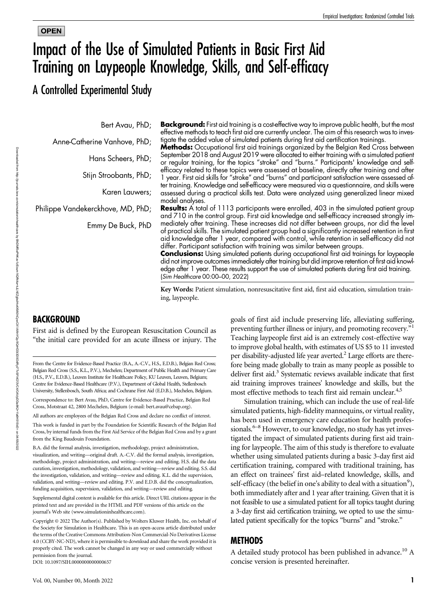# **OPEN** Impact of the Use of Simulated Patients in Basic First Aid Training on Laypeople Knowledge, Skills, and Self-efficacy

A Controlled Experimental Study

Bert Avau, PhD;

Anne-Catherine Vanhove, PhD;

Hans Scheers, PhD;

Stijn Stroobants, PhD;

Karen Lauwers;

Philippe Vandekerckhove, MD, PhD;

Emmy De Buck, PhD

**Background:** First aid training is a cost-effective way to improve public health, but the most effective methods to teach first aid are currently unclear. The aim of this research was to investigate the added value of simulated patients during first aid certification trainings.

**Methods:** Occupational first aid trainings organized by the Belgian Red Cross between September 2018 and August 2019 were allocated to either training with a simulated patient or regular training, for the topics "stroke" and "burns." Participants' knowledge and selfefficacy related to these topics were assessed at baseline, directly after training and after 1 year. First aid skills for "stroke" and "burns" and participant satisfaction were assessed after training. Knowledge and self-efficacy were measured via a questionnaire, and skills were assessed during a practical skills test. Data were analyzed using generalized linear mixed model analyses.

**Results:** A total of 1113 participants were enrolled, 403 in the simulated patient group and 710 in the control group. First aid knowledge and self-efficacy increased strongly immediately after training. These increases did not differ between groups, nor did the level of practical skills. The simulated patient group had a significantly increased retention in first aid knowledge after 1 year, compared with control, while retention in self-efficacy did not differ. Participant satisfaction with training was similar between groups.

**Conclusions:** Using simulated patients during occupational first aid trainings for laypeople did not improve outcomes immediately after training but did improve retention of first aid knowledge after 1 year. These results support the use of simulated patients during first aid training. (Sim Healthcare 00:00–00, 2022)

Key Words: Patient simulation, nonresuscitative first aid, first aid education, simulation training, laypeople.

# **BACKGROUND**

First aid is defined by the European Resuscitation Council as "the initial care provided for an acute illness or injury. The

From the Centre for Evidence-Based Practice (B.A., A.-C.V., H.S., E.D.B.), Belgian Red Cross; Belgian Red Cross (S.S., K.L., P.V.), Mechelen; Department of Public Health and Primary Care (H.S., P.V., E.D.B.), Leuven Institute for Healthcare Policy, KU Leuven, Leuven, Belgium; Centre for Evidence-Based Healthcare (P.V.), Department of Global Health, Stellenbosch University, Stellenbosch, South Africa; and Cochrane First Aid (E.D.B.), Mechelen, Belgium.

Correspondence to: Bert Avau, PhD, Centre for Evidence-Based Practice, Belgian Red Cross, Motstraat 42, 2800 Mechelen, Belgium (e‐mail: [bert.avau@cebap.org](mailto:bert.avau@cebap.org)).

All authors are employees of the Belgian Red Cross and declare no conflict of interest.

This work is funded in part by the Foundation for Scientific Research of the Belgian Red Cross, by internal funds from the First Aid Service of the Belgian Red Cross and by a grant from the King Baudouin Foundation.

B.A. did the formal analysis, investigation, methodology, project administration, visualization, and writing—original draft. A.-C.V. did the formal analysis, investigation, methodology, project administration, and writing—review and editing. H.S. did the data curation, investigation, methodology, validation, and writing—review and editing. S.S. did the investigation, validation, and writing—review and editing. K.L. did the supervision, validation, and writing—review and editing. P.V. and E.D.B. did the conceptualization, funding acquisition, supervision, validation, and writing—review and editing.

Supplemental digital content is available for this article. Direct URL citations appear in the printed text and are provided in the HTML and PDF versions of this article on the journal's Web site [\(www.simulationinhealthcare.com\)](http://www.simulationinhealthcare.com).

Copyright © 2022 The Author(s). Published by Wolters Kluwer Health, Inc. on behalf of the Society for Simulation in Healthcare. This is an open-access article distributed under the terms of the [Creative Commons Attribution-Non Commercial-No Derivatives License](http://www.simulationinhealthcare.com) [4.0 \(CCBY-NC-ND\),](http://www.simulationinhealthcare.com) where it is permissible to download and share the work provided it is properly cited. The work cannot be changed in any way or used commercially without permission from the journal.

DOI: 10.1097/SIH.0000000000000657

goals of first aid include preserving life, alleviating suffering, preventing further illness or injury, and promoting recovery."<sup>1</sup> Teaching laypeople first aid is an extremely cost-effective way to improve global health, with estimates of US \$5 to 11 invested per disability-adjusted life year averted.<sup>2</sup> Large efforts are therefore being made globally to train as many people as possible to deliver first aid.<sup>3</sup> Systematic reviews available indicate that first aid training improves trainees' knowledge and skills, but the most effective methods to teach first aid remain unclear.<sup>4,5</sup>

Simulation training, which can include the use of real-life simulated patients, high-fidelity mannequins, or virtual reality, has been used in emergency care education for health professionals.<sup>6–8</sup> However, to our knowledge, no study has yet investigated the impact of simulated patients during first aid training for laypeople. The aim of this study is therefore to evaluate whether using simulated patients during a basic 3-day first aid certification training, compared with traditional training, has an effect on trainees' first aid–related knowledge, skills, and self-efficacy (the belief in one's ability to deal with a situation $^9$ ), both immediately after and 1 year after training. Given that it is not feasible to use a simulated patient for all topics taught during a 3-day first aid certification training, we opted to use the simulated patient specifically for the topics "burns" and "stroke."

# METHODS

A detailed study protocol has been published in advance.<sup>10</sup> A concise version is presented hereinafter.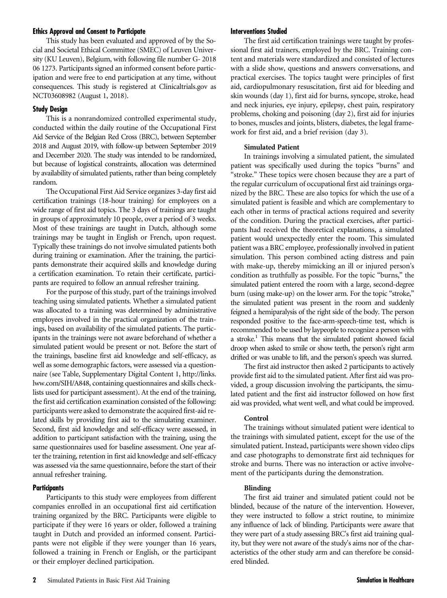#### Ethics Approval and Consent to Participate

This study has been evaluated and approved of by the Social and Societal Ethical Committee (SMEC) of Leuven University (KU Leuven), Belgium, with following file number G- 2018 06 1273. Participants signed an informed consent before participation and were free to end participation at any time, without consequences. This study is registered at [Clinicaltrials.gov](http://Clinicaltrials.gov) as NCT03608982 (August 1, 2018).

# Study Design

This is a nonrandomized controlled experimental study, conducted within the daily routine of the Occupational First Aid Service of the Belgian Red Cross (BRC), between September 2018 and August 2019, with follow-up between September 2019 and December 2020. The study was intended to be randomized, but because of logistical constraints, allocation was determined by availability of simulated patients, rather than being completely random.

The Occupational First Aid Service organizes 3-day first aid certification trainings (18-hour training) for employees on a wide range of first aid topics. The 3 days of trainings are taught in groups of approximately 10 people, over a period of 3 weeks. Most of these trainings are taught in Dutch, although some trainings may be taught in English or French, upon request. Typically these trainings do not involve simulated patients both during training or examination. After the training, the participants demonstrate their acquired skills and knowledge during a certification examination. To retain their certificate, participants are required to follow an annual refresher training.

For the purpose of this study, part of the trainings involved teaching using simulated patients. Whether a simulated patient was allocated to a training was determined by administrative employees involved in the practical organization of the trainings, based on availability of the simulated patients. The participants in the trainings were not aware beforehand of whether a simulated patient would be present or not. Before the start of the trainings, baseline first aid knowledge and self-efficacy, as well as some demographic factors, were assessed via a questionnaire (see Table, Supplementary Digital Content 1, [http://links.](http://links.lww.com/SIH/A848) [lww.com/SIH/A848,](http://links.lww.com/SIH/A848) containing questionnaires and skills checklists used for participant assessment). At the end of the training, the first aid certification examination consisted of the following: participants were asked to demonstrate the acquired first-aid related skills by providing first aid to the simulating examiner. Second, first aid knowledge and self-efficacy were assessed, in addition to participant satisfaction with the training, using the same questionnaires used for baseline assessment. One year after the training, retention in first aid knowledge and self-efficacy was assessed via the same questionnaire, before the start of their annual refresher training.

# **Participants**

Participants to this study were employees from different companies enrolled in an occupational first aid certification training organized by the BRC. Participants were eligible to participate if they were 16 years or older, followed a training taught in Dutch and provided an informed consent. Participants were not eligible if they were younger than 16 years, followed a training in French or English, or the participant or their employer declined participation.

The first aid certification trainings were taught by professional first aid trainers, employed by the BRC. Training content and materials were standardized and consisted of lectures with a slide show, questions and answers conversations, and practical exercises. The topics taught were principles of first aid, cardiopulmonary resuscitation, first aid for bleeding and skin wounds (day 1), first aid for burns, syncope, stroke, head and neck injuries, eye injury, epilepsy, chest pain, respiratory problems, choking and poisoning (day 2), first aid for injuries to bones, muscles and joints, blisters, diabetes, the legal framework for first aid, and a brief revision (day 3).

## Simulated Patient

In trainings involving a simulated patient, the simulated patient was specifically used during the topics "burns" and "stroke." These topics were chosen because they are a part of the regular curriculum of occupational first aid trainings organized by the BRC. These are also topics for which the use of a simulated patient is feasible and which are complementary to each other in terms of practical actions required and severity of the condition. During the practical exercises, after participants had received the theoretical explanations, a simulated patient would unexpectedly enter the room. This simulated patient was a BRC employee, professionally involved in patient simulation. This person combined acting distress and pain with make-up, thereby mimicking an ill or injured person's condition as truthfully as possible. For the topic "burns," the simulated patient entered the room with a large, second-degree burn (using make-up) on the lower arm. For the topic "stroke," the simulated patient was present in the room and suddenly feigned a hemiparalysis of the right side of the body. The person responded positive to the face-arm-speech-time test, which is recommended to be used by laypeople to recognize a person with a stroke.<sup>1</sup> This means that the simulated patient showed facial droop when asked to smile or show teeth, the person's right arm drifted or was unable to lift, and the person's speech was slurred.

The first aid instructor then asked 2 participants to actively provide first aid to the simulated patient. After first aid was provided, a group discussion involving the participants, the simulated patient and the first aid instructor followed on how first aid was provided, what went well, and what could be improved.

# Control

The trainings without simulated patient were identical to the trainings with simulated patient, except for the use of the simulated patient. Instead, participants were shown video clips and case photographs to demonstrate first aid techniques for stroke and burns. There was no interaction or active involvement of the participants during the demonstration.

#### Blinding

The first aid trainer and simulated patient could not be blinded, because of the nature of the intervention. However, they were instructed to follow a strict routine, to minimize any influence of lack of blinding. Participants were aware that they were part of a study assessing BRC's first aid training quality, but they were not aware of the study's aims nor of the characteristics of the other study arm and can therefore be considered blinded.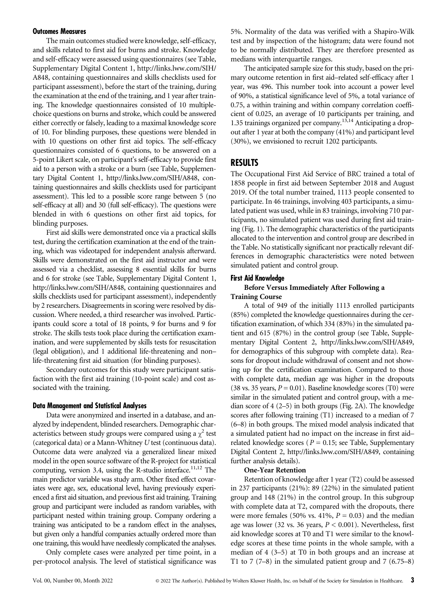#### Outcomes Measures

The main outcomes studied were knowledge, self-efficacy, and skills related to first aid for burns and stroke. Knowledge and self-efficacy were assessed using questionnaires (see Table, Supplementary Digital Content 1, [http://links.lww.com/SIH/](http://links.lww.com/SIH/A848) [A848](http://links.lww.com/SIH/A848), containing questionnaires and skills checklists used for participant assessment), before the start of the training, during the examination at the end of the training, and 1 year after training. The knowledge questionnaires consisted of 10 multiplechoice questions on burns and stroke, which could be answered either correctly or falsely, leading to a maximal knowledge score of 10. For blinding purposes, these questions were blended in with 10 questions on other first aid topics. The self-efficacy questionnaires consisted of 6 questions, to be answered on a 5-point Likert scale, on participant's self-efficacy to provide first aid to a person with a stroke or a burn (see Table, Supplementary Digital Content 1, [http://links.lww.com/SIH/A848,](http://links.lww.com/SIH/A848) containing questionnaires and skills checklists used for participant assessment). This led to a possible score range between 5 (no self-efficacy at all) and 30 (full self-efficacy). The questions were blended in with 6 questions on other first aid topics, for blinding purposes.

First aid skills were demonstrated once via a practical skills test, during the certification examination at the end of the training, which was videotaped for independent analysis afterward. Skills were demonstrated on the first aid instructor and were assessed via a checklist, assessing 8 essential skills for burns and 6 for stroke (see Table, Supplementary Digital Content 1, <http://links.lww.com/SIH/A848>, containing questionnaires and skills checklists used for participant assessment), independently by 2 researchers. Disagreements in scoring were resolved by discussion. Where needed, a third researcher was involved. Participants could score a total of 18 points, 9 for burns and 9 for stroke. The skills tests took place during the certification examination, and were supplemented by skills tests for resuscitation (legal obligation), and 1 additional life-threatening and non– life-threatening first aid situation (for blinding purposes).

Secondary outcomes for this study were participant satisfaction with the first aid training (10-point scale) and cost associated with the training.

#### Data Management and Statistical Analyses

Data were anonymized and inserted in a database, and analyzed by independent, blinded researchers. Demographic characteristics between study groups were compared using a  $\chi^2$  test (categorical data) or a Mann-Whitney U test (continuous data). Outcome data were analyzed via a generalized linear mixed model in the open source software of the R-project for statistical computing, version 3.4, using the R-studio interface.<sup>11,12</sup> The main predictor variable was study arm. Other fixed effect covariates were age, sex, educational level, having previously experienced a first aid situation, and previous first aid training. Training group and participant were included as random variables, with participant nested within training group. Company ordering a training was anticipated to be a random effect in the analyses, but given only a handful companies actually ordered more than one training, this would have needlessly complicated the analyses.

Only complete cases were analyzed per time point, in a per-protocol analysis. The level of statistical significance was 5%. Normality of the data was verified with a Shapiro-Wilk test and by inspection of the histogram; data were found not to be normally distributed. They are therefore presented as medians with interquartile ranges.

The anticipated sample size for this study, based on the primary outcome retention in first aid–related self-efficacy after 1 year, was 496. This number took into account a power level of 90%, a statistical significance level of 5%, a total variance of 0.75, a within training and within company correlation coefficient of 0.025, an average of 10 participants per training, and 1.35 trainings organized per company.13,14 Anticipating a dropout after 1 year at both the company (41%) and participant level (30%), we envisioned to recruit 1202 participants.

# RESULTS

The Occupational First Aid Service of BRC trained a total of 1858 people in first aid between September 2018 and August 2019. Of the total number trained, 1113 people consented to participate. In 46 trainings, involving 403 participants, a simulated patient was used, while in 83 trainings, involving 710 participants, no simulated patient was used during first aid training (Fig. 1). The demographic characteristics of the participants allocated to the intervention and control group are described in the Table. No statistically significant nor practically relevant differences in demographic characteristics were noted between simulated patient and control group.

#### First Aid Knowledge

#### Before Versus Immediately After Following a Training Course

A total of 949 of the initially 1113 enrolled participants (85%) completed the knowledge questionnaires during the certification examination, of which 334 (83%) in the simulated patient and 615 (87%) in the control group (see Table, Supplementary Digital Content 2, [http://links.lww.com/SIH/A849,](http://links.lww.com/SIH/A849) for demographics of this subgroup with complete data). Reasons for dropout include withdrawal of consent and not showing up for the certification examination. Compared to those with complete data, median age was higher in the dropouts (38 vs. 35 years,  $P = 0.01$ ). Baseline knowledge scores (T0) were similar in the simulated patient and control group, with a median score of 4 (2–5) in both groups (Fig. 2A). The knowledge scores after following training (T1) increased to a median of 7 (6–8) in both groups. The mixed model analysis indicated that a simulated patient had no impact on the increase in first aid– related knowledge scores ( $P = 0.15$ ; see Table, Supplementary Digital Content 2, [http://links.lww.com/SIH/A849,](http://links.lww.com/SIH/A849) containing further analysis details).

#### One-Year Retention

Retention of knowledge after 1 year (T2) could be assessed in 237 participants (21%): 89 (22%) in the simulated patient group and 148 (21%) in the control group. In this subgroup with complete data at T2, compared with the dropouts, there were more females (50% vs. 41%,  $P = 0.03$ ) and the median age was lower (32 vs. 36 years,  $P < 0.001$ ). Nevertheless, first aid knowledge scores at T0 and T1 were similar to the knowledge scores at these time points in the whole sample, with a median of 4 (3–5) at T0 in both groups and an increase at T1 to 7  $(7-8)$  in the simulated patient group and 7  $(6.75-8)$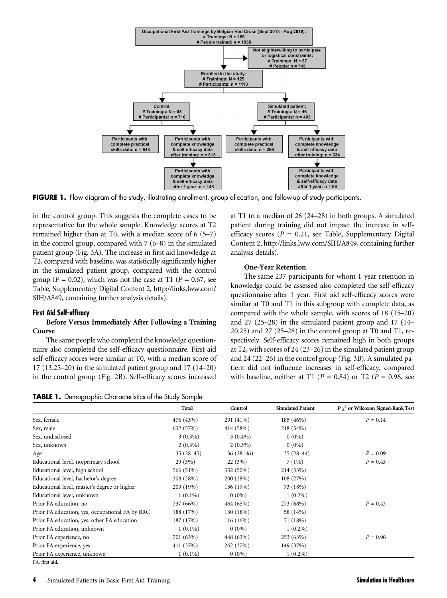

FIGURE 1. Flow diagram of the study, illustrating enrollment, group allocation, and follow-up of study participants.

in the control group. This suggests the complete cases to be representative for the whole sample. Knowledge scores at T2 remained higher than at T0, with a median score of 6 (5–7) in the control group, compared with 7 (6–8) in the simulated patient group (Fig. 3A). The increase in first aid knowledge at T2, compared with baseline, was statistically significantly higher in the simulated patient group, compared with the control group ( $P = 0.02$ ), which was not the case at T1 ( $P = 0.67$ , see Table, Supplementary Digital Content 2, [http://links.lww.com/](http://links.lww.com/SIH/A849) [SIH/A849,](http://links.lww.com/SIH/A849) containing further analysis details).

#### First Aid Self-efficacy

### Before Versus Immediately After Following a Training Course

The same people who completed the knowledge questionnaire also completed the self-efficacy questionnaire. First aid self-efficacy scores were similar at T0, with a median score of 17 (13.25–20) in the simulated patient group and 17 (14–20) in the control group (Fig. 2B). Self-efficacy scores increased

at T1 to a median of 26 (24–28) in both groups. A simulated patient during training did not impact the increase in selfefficacy scores ( $P = 0.21$ , see Table, Supplementary Digital Content 2,<http://links.lww.com/SIH/A849>, containing further analysis details).

#### One-Year Retention

The same 237 participants for whom 1-year retention in knowledge could be assessed also completed the self-efficacy questionnaire after 1 year. First aid self-efficacy scores were similar at T0 and T1 in this subgroup with complete data, as compared with the whole sample, with scores of 18 (15–20) and 27 (25–28) in the simulated patient group and 17 (14–  $20.25$ ) and  $27$   $(25-28)$  in the control group at T0 and T1, respectively. Self-efficacy scores remained high in both groups at T2, with scores of 24 (23–26) in the simulated patient group and 24 (22–26) in the control group (Fig. 3B). A simulated patient did not influence increases in self-efficacy, compared with baseline, neither at T1 ( $P = 0.84$ ) or T2 ( $P = 0.96$ , see

|  |  | TABLE 1. Demographic Characteristics of the Study Sample |  |  |  |  |
|--|--|----------------------------------------------------------|--|--|--|--|
|--|--|----------------------------------------------------------|--|--|--|--|

|                                                 | Total       | Control     | <b>Simulated Patient</b> | $P\gamma^2$ or Wilcoxon Signed-Rank Test |
|-------------------------------------------------|-------------|-------------|--------------------------|------------------------------------------|
| Sex, female                                     | 476 (43%)   | 291 (41%)   | 185 (46%)                | $P = 0.14$                               |
| Sex, male                                       | 632 (57%)   | 414 (58%)   | 218 (54%)                |                                          |
| Sex, undisclosed                                | $3(0.3\%)$  | $3(0.4\%)$  | $0(0\%)$                 |                                          |
| Sex, unknown                                    | $2(0.3\%)$  | $2(0.3\%)$  | $0(0\%)$                 |                                          |
| Age                                             | $35(28-45)$ | $36(28-46)$ | $35(28-44)$              | $P = 0.09$                               |
| Educational level, no/primary school            | 29 (3%)     | 22(3%)      | 7(1%)                    | $P = 0.43$                               |
| Educational level, high school                  | 566 (51%)   | 352 (50%)   | 214 (53%)                |                                          |
| Educational level, bachelor's degree            | 308 (28%)   | 200 (28%)   | 108 (27%)                |                                          |
| Educational level, master's degree or higher    | 209 (19%)   | 136 (19%)   | 73 (18%)                 |                                          |
| Educational level, unknown                      | $1(0.1\%)$  | $0(0\%)$    | $1(0.2\%)$               |                                          |
| Prior FA education, no                          | 737 (66%)   | 464 (65%)   | 273 (68%)                | $P = 0.43$                               |
| Prior FA education, yes, occupational FA by BRC | 188 (17%)   | 130 (18%)   | 58 (14%)                 |                                          |
| Prior FA education, yes, other FA education     | 187 (17%)   | $116(16\%)$ | 71 (18%)                 |                                          |
| Prior FA education, unknown                     | $1(0.1\%)$  | $0(0\%)$    | $1(0.2\%)$               |                                          |
| Prior FA experience, no                         | 701 (63%)   | 448 (63%)   | 253 (63%)                | $P = 0.96$                               |
| Prior FA experience, yes                        | 411 (37%)   | 262 (37%)   | 149 (37%)                |                                          |
| Prior FA experience, unknown                    | $1(0.1\%)$  | $0(0\%)$    | $1(0.2\%)$               |                                          |
| FA. first aid                                   |             |             |                          |                                          |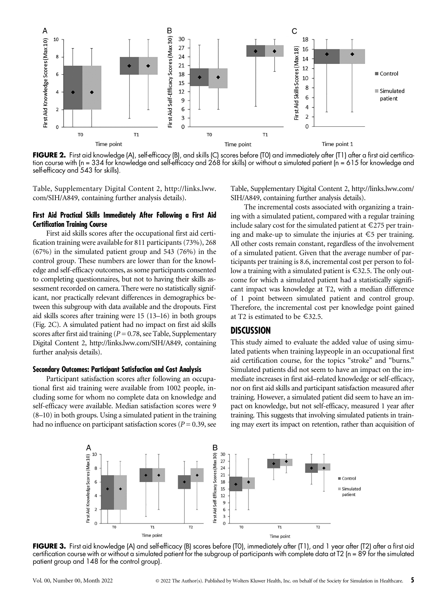

FIGURE 2. First aid knowledge (A), self-efficacy (B), and skills (C) scores before (T0) and immediately after (T1) after a first aid certification course with (n = 334 for knowledge and self-efficacy and 268 for skills) or without a simulated patient (n = 615 for knowledge and self-efficacy and 543 for skills).

Table, Supplementary Digital Content 2, [http://links.lww.](http://links.lww.com/SIH/A849) [com/SIH/A849,](http://links.lww.com/SIH/A849) containing further analysis details).

# First Aid Practical Skills Immediately After Following a First Aid Certification Training Course

First aid skills scores after the occupational first aid certification training were available for 811 participants (73%), 268 (67%) in the simulated patient group and 543 (76%) in the control group. These numbers are lower than for the knowledge and self-efficacy outcomes, as some participants consented to completing questionnaires, but not to having their skills assessment recorded on camera. There were no statistically significant, nor practically relevant differences in demographics between this subgroup with data available and the dropouts. First aid skills scores after training were 15 (13–16) in both groups (Fig. 2C). A simulated patient had no impact on first aid skills scores after first aid training ( $P = 0.78$ , see Table, Supplementary Digital Content 2,<http://links.lww.com/SIH/A849>, containing further analysis details).

#### Secondary Outcomes: Participant Satisfaction and Cost Analysis

Participant satisfaction scores after following an occupational first aid training were available from 1002 people, including some for whom no complete data on knowledge and self-efficacy were available. Median satisfaction scores were 9 (8–10) in both groups. Using a simulated patient in the training had no influence on participant satisfaction scores ( $P = 0.39$ , see

Table, Supplementary Digital Content 2, [http://links.lww.com/](http://links.lww.com/SIH/A849) [SIH/A849,](http://links.lww.com/SIH/A849) containing further analysis details).

The incremental costs associated with organizing a training with a simulated patient, compared with a regular training include salary cost for the simulated patient at  $\epsilon$ 275 per training and make-up to simulate the injuries at  $\epsilon$ 5 per training. All other costs remain constant, regardless of the involvement of a simulated patient. Given that the average number of participants per training is 8.6, incremental cost per person to follow a training with a simulated patient is €32.5. The only outcome for which a simulated patient had a statistically significant impact was knowledge at T2, with a median difference of 1 point between simulated patient and control group. Therefore, the incremental cost per knowledge point gained at T2 is estimated to be €32.5.

# **DISCUSSION**

This study aimed to evaluate the added value of using simulated patients when training laypeople in an occupational first aid certification course, for the topics "stroke" and "burns." Simulated patients did not seem to have an impact on the immediate increases in first aid–related knowledge or self-efficacy, nor on first aid skills and participant satisfaction measured after training. However, a simulated patient did seem to have an impact on knowledge, but not self-efficacy, measured 1 year after training. This suggests that involving simulated patients in training may exert its impact on retention, rather than acquisition of



FIGURE 3. First aid knowledge (A) and self-efficacy (B) scores before (T0), immediately after (T1), and 1 year after (T2) after a first aid certification course with or without a simulated patient for the subgroup of participants with complete data at T2 (n = 89 for the simulated patient group and 148 for the control group).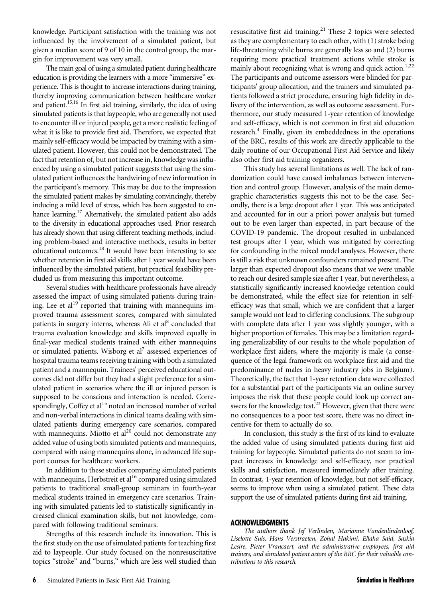knowledge. Participant satisfaction with the training was not influenced by the involvement of a simulated patient, but given a median score of 9 of 10 in the control group, the margin for improvement was very small.

The main goal of using a simulated patient during healthcare education is providing the learners with a more "immersive" experience. This is thought to increase interactions during training, thereby improving communication between healthcare worker and patient.<sup>15,16</sup> In first aid training, similarly, the idea of using simulated patients is that laypeople, who are generally not used to encounter ill or injured people, get a more realistic feeling of what it is like to provide first aid. Therefore, we expected that mainly self-efficacy would be impacted by training with a simulated patient. However, this could not be demonstrated. The fact that retention of, but not increase in, knowledge was influenced by using a simulated patient suggests that using the simulated patient influences the hardwiring of new information in the participant's memory. This may be due to the impression the simulated patient makes by simulating convincingly, thereby inducing a mild level of stress, which has been suggested to enhance learning.<sup>17</sup> Alternatively, the simulated patient also adds to the diversity in educational approaches used. Prior research has already shown that using different teaching methods, including problem-based and interactive methods, results in better educational outcomes.<sup>18</sup> It would have been interesting to see whether retention in first aid skills after 1 year would have been influenced by the simulated patient, but practical feasibility precluded us from measuring this important outcome.

Several studies with healthcare professionals have already assessed the impact of using simulated patients during training. Lee et al<sup>19</sup> reported that training with mannequins improved trauma assessment scores, compared with simulated patients in surgery interns, whereas Ali et al<sup>8</sup> concluded that trauma evaluation knowledge and skills improved equally in final-year medical students trained with either mannequins or simulated patients. Wisborg et  $al^7$  assessed experiences of hospital trauma teams receiving training with both a simulated patient and a mannequin. Trainees' perceived educational outcomes did not differ but they had a slight preference for a simulated patient in scenarios where the ill or injured person is supposed to be conscious and interaction is needed. Correspondingly, Coffey et  $al<sup>15</sup>$  noted an increased number of verbal and non-verbal interactions in clinical teams dealing with simulated patients during emergency care scenarios, compared with mannequins. Miotto et  $al^{20}$  could not demonstrate any added value of using both simulated patients and mannequins, compared with using mannequins alone, in advanced life support courses for healthcare workers.

In addition to these studies comparing simulated patients with mannequins, Herbstreit et al<sup>16</sup> compared using simulated patients to traditional small-group seminars in fourth-year medical students trained in emergency care scenarios. Training with simulated patients led to statistically significantly increased clinical examination skills, but not knowledge, compared with following traditional seminars.

Strengths of this research include its innovation. This is the first study on the use of simulated patients for teaching first aid to laypeople. Our study focused on the nonresuscitative topics "stroke" and "burns," which are less well studied than

resuscitative first aid training.<sup>21</sup> These 2 topics were selected as they are complementary to each other, with (1) stroke being life-threatening while burns are generally less so and (2) burns requiring more practical treatment actions while stroke is mainly about recognizing what is wrong and quick action.<sup>1,22</sup> The participants and outcome assessors were blinded for participants' group allocation, and the trainers and simulated patients followed a strict procedure, ensuring high fidelity in delivery of the intervention, as well as outcome assessment. Furthermore, our study measured 1-year retention of knowledge and self-efficacy, which is not common in first aid education research.<sup>4</sup> Finally, given its embeddedness in the operations of the BRC, results of this work are directly applicable to the daily routine of our Occupational First Aid Service and likely also other first aid training organizers.

This study has several limitations as well. The lack of randomization could have caused imbalances between intervention and control group. However, analysis of the main demographic characteristics suggests this not to be the case. Secondly, there is a large dropout after 1 year. This was anticipated and accounted for in our a priori power analysis but turned out to be even larger than expected, in part because of the COVID-19 pandemic. The dropout resulted in unbalanced test groups after 1 year, which was mitigated by correcting for confounding in the mixed model analyses. However, there is still a risk that unknown confounders remained present. The larger than expected dropout also means that we were unable to reach our desired sample size after 1 year, but nevertheless, a statistically significantly increased knowledge retention could be demonstrated, while the effect size for retention in selfefficacy was that small, which we are confident that a larger sample would not lead to differing conclusions. The subgroup with complete data after 1 year was slightly younger, with a higher proportion of females. This may be a limitation regarding generalizability of our results to the whole population of workplace first aiders, where the majority is male (a consequence of the legal framework on workplace first aid and the predominance of males in heavy industry jobs in Belgium). Theoretically, the fact that 1-year retention data were collected for a substantial part of the participants via an online survey imposes the risk that these people could look up correct answers for the knowledge test. $^{23}$  However, given that there were no consequences to a poor test score, there was no direct incentive for them to actually do so.

In conclusion, this study is the first of its kind to evaluate the added value of using simulated patients during first aid training for laypeople. Simulated patients do not seem to impact increases in knowledge and self-efficacy, nor practical skills and satisfaction, measured immediately after training. In contrast, 1-year retention of knowledge, but not self-efficacy, seems to improve when using a simulated patient. These data support the use of simulated patients during first aid training.

#### ACKNOWLEDGMENTS

The authors thank Jef Verlinden, Marianne Vandenlindenloof, Liselotte Suls, Hans Verstraeten, Zohal Hakimi, Ellaha Said, Saskia Lesire, Pieter Vrancaert, and the administrative employees, first aid trainers, and simulated patient actors of the BRC for their valuable contributions to this research.